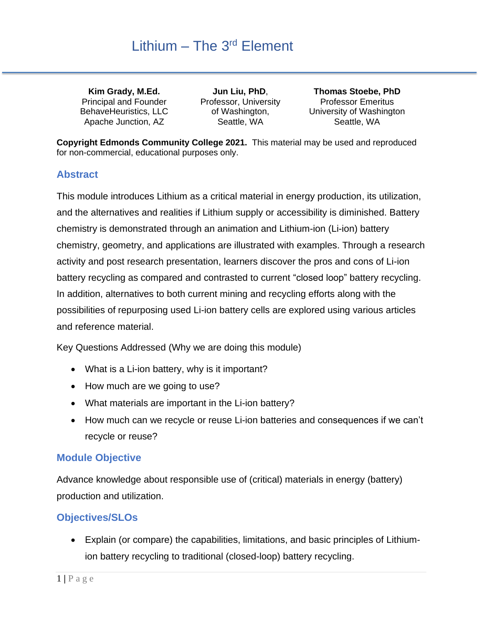**Kim Grady, M.Ed.** Principal and Founder BehaveHeuristics, LLC Apache Junction, AZ

**Jun Liu, PhD**, Professor, University of Washington, Seattle, WA

**Thomas Stoebe, PhD** Professor Emeritus University of Washington Seattle, WA

**Copyright Edmonds Community College 2021.** This material may be used and reproduced for non-commercial, educational purposes only.

### **Abstract**

This module introduces Lithium as a critical material in energy production, its utilization, and the alternatives and realities if Lithium supply or accessibility is diminished. Battery chemistry is demonstrated through an animation and Lithium-ion (Li-ion) battery chemistry, geometry, and applications are illustrated with examples. Through a research activity and post research presentation, learners discover the pros and cons of Li-ion battery recycling as compared and contrasted to current "closed loop" battery recycling. In addition, alternatives to both current mining and recycling efforts along with the possibilities of repurposing used Li-ion battery cells are explored using various articles and reference material.

Key Questions Addressed (Why we are doing this module)

- What is a Li-ion battery, why is it important?
- How much are we going to use?
- What materials are important in the Li-ion battery?
- How much can we recycle or reuse Li-ion batteries and consequences if we can't recycle or reuse?

### **Module Objective**

Advance knowledge about responsible use of (critical) materials in energy (battery) production and utilization.

### **Objectives/SLOs**

• Explain (or compare) the capabilities, limitations, and basic principles of Lithiumion battery recycling to traditional (closed-loop) battery recycling.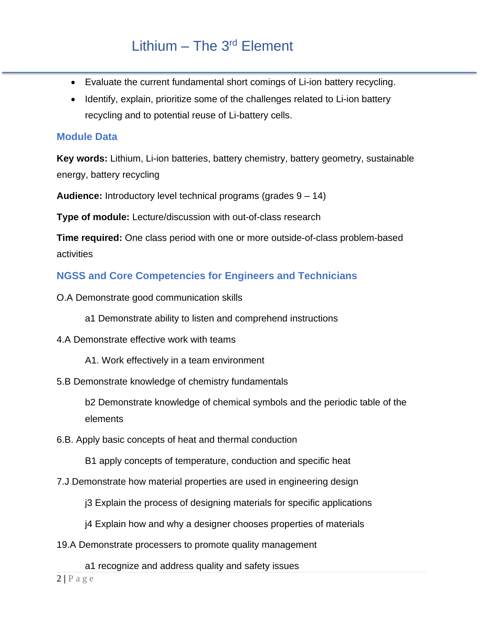- Evaluate the current fundamental short comings of Li-ion battery recycling.
- Identify, explain, prioritize some of the challenges related to Li-ion battery recycling and to potential reuse of Li-battery cells.

### **Module Data**

**Key words:** Lithium, Li-ion batteries, battery chemistry, battery geometry, sustainable energy, battery recycling

**Audience:** Introductory level technical programs (grades 9 – 14)

**Type of module:** Lecture/discussion with out-of-class research

**Time required:** One class period with one or more outside-of-class problem-based activities

### **NGSS and Core Competencies for Engineers and Technicians**

O.A Demonstrate good communication skills

a1 Demonstrate ability to listen and comprehend instructions

- 4.A Demonstrate effective work with teams
	- A1. Work effectively in a team environment
- 5.B Demonstrate knowledge of chemistry fundamentals

b2 Demonstrate knowledge of chemical symbols and the periodic table of the elements

6.B. Apply basic concepts of heat and thermal conduction

B1 apply concepts of temperature, conduction and specific heat

- 7.J Demonstrate how material properties are used in engineering design
	- j3 Explain the process of designing materials for specific applications
	- j4 Explain how and why a designer chooses properties of materials
- 19.A Demonstrate processers to promote quality management

a1 recognize and address quality and safety issues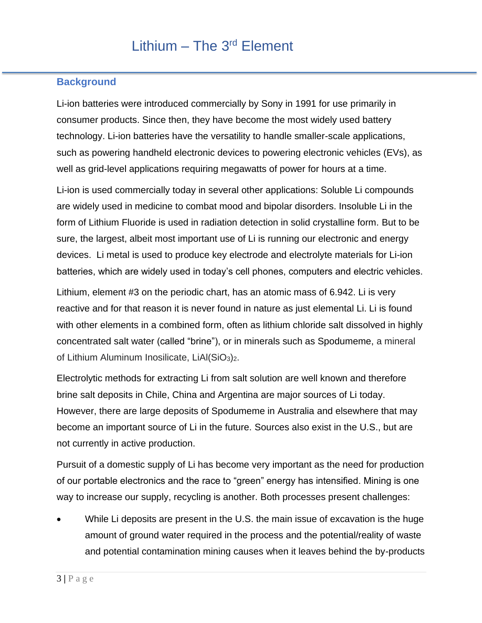### **Background**

Li-ion batteries were introduced commercially by Sony in 1991 for use primarily in consumer products. Since then, they have become the most widely used battery technology. Li-ion batteries have the versatility to handle smaller-scale applications, such as powering handheld electronic devices to powering electronic vehicles (EVs), as well as grid-level applications requiring megawatts of power for hours at a time.

Li-ion is used commercially today in several other applications: Soluble Li compounds are widely used in medicine to combat mood and bipolar disorders. Insoluble Li in the form of Lithium Fluoride is used in radiation detection in solid crystalline form. But to be sure, the largest, albeit most important use of Li is running our electronic and energy devices. Li metal is used to produce key electrode and electrolyte materials for Li-ion batteries, which are widely used in today's cell phones, computers and electric vehicles.

Lithium, element #3 on the periodic chart, has an atomic mass of 6.942. Li is very reactive and for that reason it is never found in nature as just elemental Li. Li is found with other elements in a combined form, often as lithium chloride salt dissolved in highly concentrated salt water (called "brine"), or in minerals such as Spodumeme, a mineral of Lithium Aluminum Inosilicate, LiAl(SiO3)2.

Electrolytic methods for extracting Li from salt solution are well known and therefore brine salt deposits in Chile, China and Argentina are major sources of Li today. However, there are large deposits of Spodumeme in Australia and elsewhere that may become an important source of Li in the future. Sources also exist in the U.S., but are not currently in active production.

Pursuit of a domestic supply of Li has become very important as the need for production of our portable electronics and the race to "green" energy has intensified. Mining is one way to increase our supply, recycling is another. Both processes present challenges:

While Li deposits are present in the U.S. the main issue of excavation is the huge amount of ground water required in the process and the potential/reality of waste and potential contamination mining causes when it leaves behind the by-products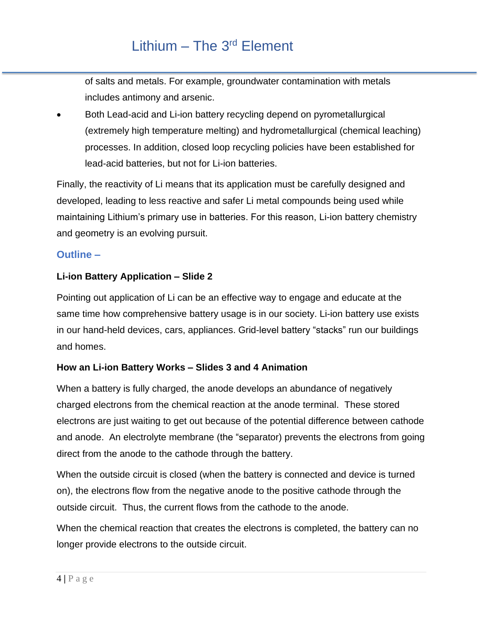of salts and metals. For example, groundwater contamination with metals includes antimony and arsenic.

• Both Lead-acid and Li-ion battery recycling depend on pyrometallurgical (extremely high temperature melting) and hydrometallurgical (chemical leaching) processes. In addition, closed loop recycling policies have been established for lead-acid batteries, but not for Li-ion batteries.

Finally, the reactivity of Li means that its application must be carefully designed and developed, leading to less reactive and safer Li metal compounds being used while maintaining Lithium's primary use in batteries. For this reason, Li-ion battery chemistry and geometry is an evolving pursuit.

### **Outline –**

### **Li-ion Battery Application – Slide 2**

Pointing out application of Li can be an effective way to engage and educate at the same time how comprehensive battery usage is in our society. Li-ion battery use exists in our hand-held devices, cars, appliances. Grid-level battery "stacks" run our buildings and homes.

### **How an Li-ion Battery Works – Slides 3 and 4 Animation**

When a battery is fully charged, the anode develops an abundance of negatively charged electrons from the chemical reaction at the anode terminal. These stored electrons are just waiting to get out because of the potential difference between cathode and anode. An electrolyte membrane (the "separator) prevents the electrons from going direct from the anode to the cathode through the battery.

When the outside circuit is closed (when the battery is connected and device is turned on), the electrons flow from the negative anode to the positive cathode through the outside circuit. Thus, the current flows from the cathode to the anode.

When the chemical reaction that creates the electrons is completed, the battery can no longer provide electrons to the outside circuit.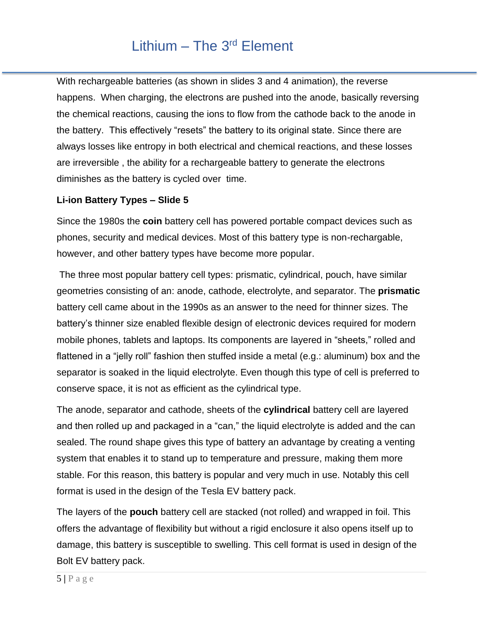With rechargeable batteries (as shown in slides 3 and 4 animation), the reverse happens. When charging, the electrons are pushed into the anode, basically reversing the chemical reactions, causing the ions to flow from the cathode back to the anode in the battery. This effectively "resets" the battery to its original state. Since there are always losses like entropy in both electrical and chemical reactions, and these losses are irreversible , the ability for a rechargeable battery to generate the electrons diminishes as the battery is cycled over time.

#### **Li-ion Battery Types – Slide 5**

Since the 1980s the **coin** battery cell has powered portable compact devices such as phones, security and medical devices. Most of this battery type is non-rechargable, however, and other battery types have become more popular.

The three most popular battery cell types: prismatic, cylindrical, pouch, have similar geometries consisting of an: anode, cathode, electrolyte, and separator. The **prismatic** battery cell came about in the 1990s as an answer to the need for thinner sizes. The battery's thinner size enabled flexible design of electronic devices required for modern mobile phones, tablets and laptops. Its components are layered in "sheets," rolled and flattened in a "jelly roll" fashion then stuffed inside a metal (e.g.: aluminum) box and the separator is soaked in the liquid electrolyte. Even though this type of cell is preferred to conserve space, it is not as efficient as the cylindrical type.

The anode, separator and cathode, sheets of the **cylindrical** battery cell are layered and then rolled up and packaged in a "can," the liquid electrolyte is added and the can sealed. The round shape gives this type of battery an advantage by creating a venting system that enables it to stand up to temperature and pressure, making them more stable. For this reason, this battery is popular and very much in use. Notably this cell format is used in the design of the Tesla EV battery pack.

The layers of the **pouch** battery cell are stacked (not rolled) and wrapped in foil. This offers the advantage of flexibility but without a rigid enclosure it also opens itself up to damage, this battery is susceptible to swelling. This cell format is used in design of the Bolt EV battery pack.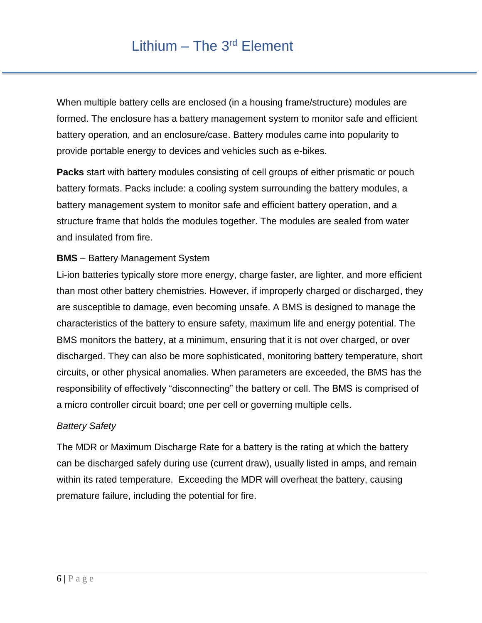When multiple battery cells are enclosed (in a housing frame/structure) modules are formed. The enclosure has a battery management system to monitor safe and efficient battery operation, and an enclosure/case. Battery modules came into popularity to provide portable energy to devices and vehicles such as e-bikes.

**Packs** start with battery modules consisting of cell groups of either prismatic or pouch battery formats. Packs include: a cooling system surrounding the battery modules, a battery management system to monitor safe and efficient battery operation, and a structure frame that holds the modules together. The modules are sealed from water and insulated from fire.

### **BMS** – Battery Management System

Li-ion batteries typically store more energy, charge faster, are lighter, and more efficient than most other battery chemistries. However, if improperly charged or discharged, they are susceptible to damage, even becoming unsafe. A BMS is designed to manage the characteristics of the battery to ensure safety, maximum life and energy potential. The BMS monitors the battery, at a minimum, ensuring that it is not over charged, or over discharged. They can also be more sophisticated, monitoring battery temperature, short circuits, or other physical anomalies. When parameters are exceeded, the BMS has the responsibility of effectively "disconnecting" the battery or cell. The BMS is comprised of a micro controller circuit board; one per cell or governing multiple cells.

#### *Battery Safety*

The MDR or Maximum Discharge Rate for a battery is the rating at which the battery can be discharged safely during use (current draw), usually listed in amps, and remain within its rated temperature. Exceeding the MDR will overheat the battery, causing premature failure, including the potential for fire.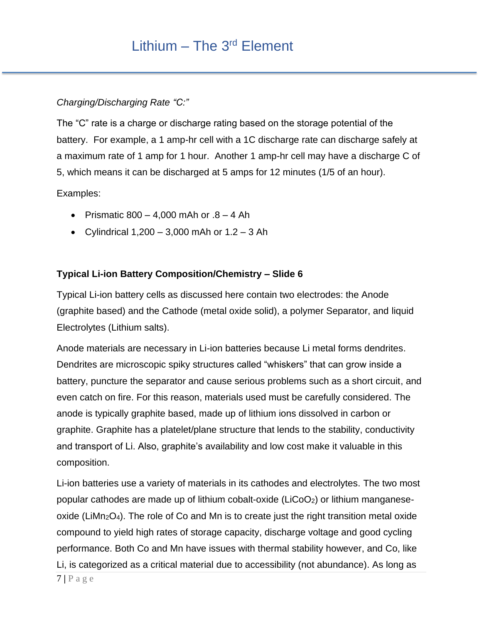### *Charging/Discharging Rate "C:"*

The "C" rate is a charge or discharge rating based on the storage potential of the battery. For example, a 1 amp-hr cell with a 1C discharge rate can discharge safely at a maximum rate of 1 amp for 1 hour. Another 1 amp-hr cell may have a discharge C of 5, which means it can be discharged at 5 amps for 12 minutes (1/5 of an hour).

Examples:

- Prismatic  $800 4,000$  mAh or  $.8 4$  Ah
- Cylindrical  $1,200 3,000$  mAh or  $1.2 3$  Ah

### **Typical Li-ion Battery Composition/Chemistry – Slide 6**

Typical Li-ion battery cells as discussed here contain two electrodes: the Anode (graphite based) and the Cathode (metal oxide solid), a polymer Separator, and liquid Electrolytes (Lithium salts).

Anode materials are necessary in Li-ion batteries because Li metal forms dendrites. Dendrites are microscopic spiky structures called "whiskers" that can grow inside a battery, puncture the separator and cause serious problems such as a short circuit, and even catch on fire. For this reason, materials used must be carefully considered. The anode is typically graphite based, made up of lithium ions dissolved in carbon or graphite. Graphite has a platelet/plane structure that lends to the stability, conductivity and transport of Li. Also, graphite's availability and low cost make it valuable in this composition.

Li-ion batteries use a variety of materials in its cathodes and electrolytes. The two most popular cathodes are made up of lithium cobalt-oxide (LiCoO2) or lithium manganeseoxide (LiMn<sub>2</sub>O<sub>4</sub>). The role of Co and Mn is to create just the right transition metal oxide compound to yield high rates of storage capacity, discharge voltage and good cycling performance. Both Co and Mn have issues with thermal stability however, and Co, like Li, is categorized as a critical material due to accessibility (not abundance). As long as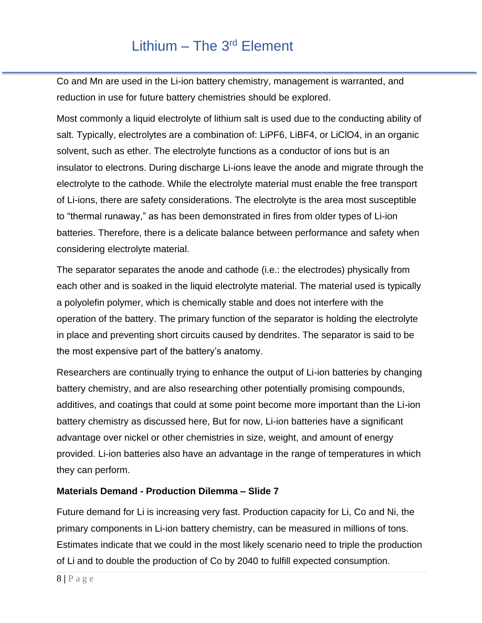Co and Mn are used in the Li-ion battery chemistry, management is warranted, and reduction in use for future battery chemistries should be explored.

Most commonly a liquid electrolyte of lithium salt is used due to the conducting ability of salt. Typically, electrolytes are a combination of: LiPF6, LiBF4, or LiClO4, in an organic solvent, such as ether. The electrolyte functions as a conductor of ions but is an insulator to electrons. During discharge Li-ions leave the anode and migrate through the electrolyte to the cathode. While the electrolyte material must enable the free transport of Li-ions, there are safety considerations. The electrolyte is the area most susceptible to "thermal runaway," as has been demonstrated in fires from older types of Li-ion batteries. Therefore, there is a delicate balance between performance and safety when considering electrolyte material.

The separator separates the anode and cathode (i.e.: the electrodes) physically from each other and is soaked in the liquid electrolyte material. The material used is typically a polyolefin polymer, which is chemically stable and does not interfere with the operation of the battery. The primary function of the separator is holding the electrolyte in place and preventing short circuits caused by dendrites. The separator is said to be the most expensive part of the battery's anatomy.

Researchers are continually trying to enhance the output of Li-ion batteries by changing battery chemistry, and are also researching other potentially promising compounds, additives, and coatings that could at some point become more important than the Li-ion battery chemistry as discussed here, But for now, Li-ion batteries have a significant advantage over nickel or other chemistries in size, weight, and amount of energy provided. Li-ion batteries also have an advantage in the range of temperatures in which they can perform.

### **Materials Demand - Production Dilemma – Slide 7**

Future demand for Li is increasing very fast. Production capacity for Li, Co and Ni, the primary components in Li-ion battery chemistry, can be measured in millions of tons. Estimates indicate that we could in the most likely scenario need to triple the production of Li and to double the production of Co by 2040 to fulfill expected consumption.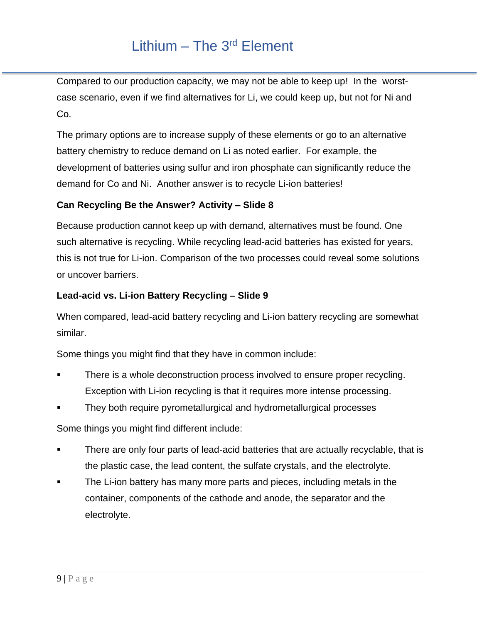Compared to our production capacity, we may not be able to keep up! In the worstcase scenario, even if we find alternatives for Li, we could keep up, but not for Ni and Co.

The primary options are to increase supply of these elements or go to an alternative battery chemistry to reduce demand on Li as noted earlier. For example, the development of batteries using sulfur and iron phosphate can significantly reduce the demand for Co and Ni. Another answer is to recycle Li-ion batteries!

### **Can Recycling Be the Answer? Activity – Slide 8**

Because production cannot keep up with demand, alternatives must be found. One such alternative is recycling. While recycling lead-acid batteries has existed for years, this is not true for Li-ion. Comparison of the two processes could reveal some solutions or uncover barriers.

### **Lead-acid vs. Li-ion Battery Recycling – Slide 9**

When compared, lead-acid battery recycling and Li-ion battery recycling are somewhat similar.

Some things you might find that they have in common include:

- There is a whole deconstruction process involved to ensure proper recycling. Exception with Li-ion recycling is that it requires more intense processing.
- They both require pyrometallurgical and hydrometallurgical processes

Some things you might find different include:

- There are only four parts of lead-acid batteries that are actually recyclable, that is the plastic case, the lead content, the sulfate crystals, and the electrolyte.
- The Li-ion battery has many more parts and pieces, including metals in the container, components of the cathode and anode, the separator and the electrolyte.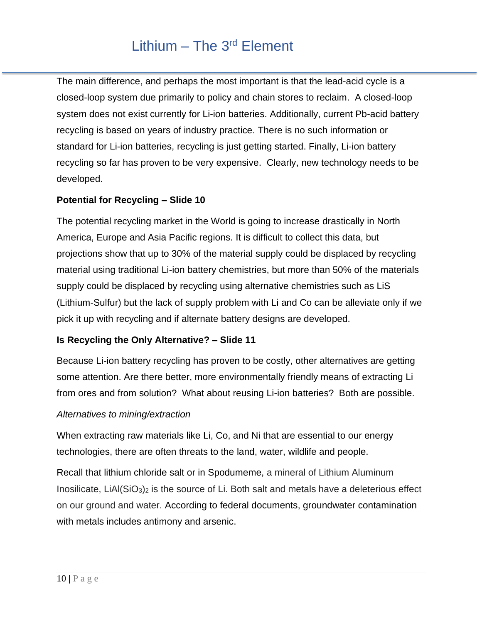The main difference, and perhaps the most important is that the lead-acid cycle is a closed-loop system due primarily to policy and chain stores to reclaim. A closed-loop system does not exist currently for Li-ion batteries. Additionally, current Pb-acid battery recycling is based on years of industry practice. There is no such information or standard for Li-ion batteries, recycling is just getting started. Finally, Li-ion battery recycling so far has proven to be very expensive. Clearly, new technology needs to be developed.

### **Potential for Recycling – Slide 10**

The potential recycling market in the World is going to increase drastically in North America, Europe and Asia Pacific regions. It is difficult to collect this data, but projections show that up to 30% of the material supply could be displaced by recycling material using traditional Li-ion battery chemistries, but more than 50% of the materials supply could be displaced by recycling using alternative chemistries such as LiS (Lithium-Sulfur) but the lack of supply problem with Li and Co can be alleviate only if we pick it up with recycling and if alternate battery designs are developed.

### **Is Recycling the Only Alternative? – Slide 11**

Because Li-ion battery recycling has proven to be costly, other alternatives are getting some attention. Are there better, more environmentally friendly means of extracting Li from ores and from solution? What about reusing Li-ion batteries? Both are possible.

### *Alternatives to mining/extraction*

When extracting raw materials like Li, Co, and Ni that are essential to our energy technologies, there are often threats to the land, water, wildlife and people.

Recall that lithium chloride salt or in Spodumeme, a mineral of Lithium Aluminum Inosilicate, LiAl(SiO3)<sup>2</sup> is the source of Li. Both salt and metals have a deleterious effect on our ground and water. According to federal documents, groundwater contamination with metals includes antimony and arsenic.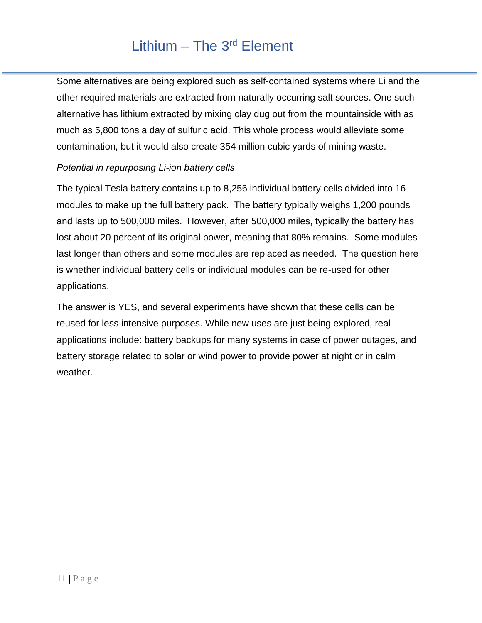Some alternatives are being explored such as self-contained systems where Li and the other required materials are extracted from naturally occurring salt sources. One such alternative has lithium extracted by mixing clay dug out from the mountainside with as much as 5,800 tons a day of sulfuric acid. This whole process would alleviate some contamination, but it would also create 354 million cubic yards of mining waste.

### *Potential in repurposing Li-ion battery cells*

The typical Tesla battery contains up to 8,256 individual battery cells divided into 16 modules to make up the full battery pack. The battery typically weighs 1,200 pounds and lasts up to 500,000 miles. However, after 500,000 miles, typically the battery has lost about 20 percent of its original power, meaning that 80% remains. Some modules last longer than others and some modules are replaced as needed. The question here is whether individual battery cells or individual modules can be re-used for other applications.

The answer is YES, and several experiments have shown that these cells can be reused for less intensive purposes. While new uses are just being explored, real applications include: battery backups for many systems in case of power outages, and battery storage related to solar or wind power to provide power at night or in calm weather.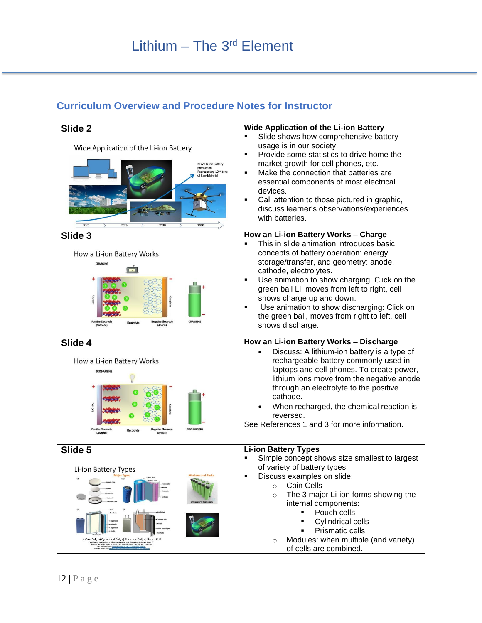### **Curriculum Overview and Procedure Notes for Instructor**

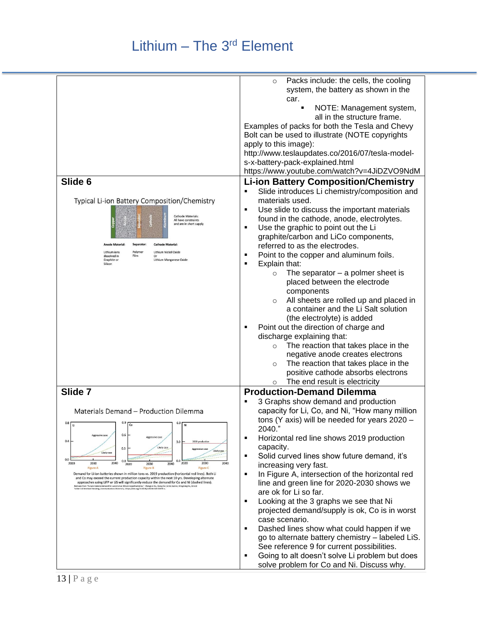|                                                                                                                                                                                                                                   | Packs include: the cells, the cooling<br>$\circ$<br>system, the battery as shown in the<br>car.   |
|-----------------------------------------------------------------------------------------------------------------------------------------------------------------------------------------------------------------------------------|---------------------------------------------------------------------------------------------------|
|                                                                                                                                                                                                                                   | NOTE: Management system,<br>all in the structure frame.                                           |
|                                                                                                                                                                                                                                   | Examples of packs for both the Tesla and Chevy<br>Bolt can be used to illustrate (NOTE copyrights |
|                                                                                                                                                                                                                                   | apply to this image):<br>http://www.teslaupdates.co/2016/07/tesla-model-                          |
|                                                                                                                                                                                                                                   | s-x-battery-pack-explained.html<br>https://www.youtube.com/watch?v=4JiDZVO9NdM                    |
| Slide 6                                                                                                                                                                                                                           | <b>Li-ion Battery Composition/Chemistry</b>                                                       |
|                                                                                                                                                                                                                                   | Slide introduces Li chemistry/composition and<br>٠                                                |
| Typical Li-ion Battery Composition/Chemistry                                                                                                                                                                                      | materials used.                                                                                   |
| <b>Cathode Materials:</b>                                                                                                                                                                                                         | Use slide to discuss the important materials<br>٠<br>found in the cathode, anode, electrolytes.   |
| All have constraints<br>and are in short supply                                                                                                                                                                                   | Use the graphic to point out the Li<br>٠                                                          |
|                                                                                                                                                                                                                                   | graphite/carbon and LiCo components,                                                              |
| <b>Anode Material:</b><br><b>Cathode Material</b><br>Separator:                                                                                                                                                                   | referred to as the electrodes.                                                                    |
| Polymer<br>Lithium Nickel Oxide<br>Lithium ions<br>dissolved in<br>Film<br>$\Omega$ r<br>Lithium Manganese Oxide<br>Graphite or                                                                                                   | Point to the copper and aluminum foils.<br>٠                                                      |
| Silicon                                                                                                                                                                                                                           | Explain that:<br>Е                                                                                |
|                                                                                                                                                                                                                                   | The separator $-$ a polmer sheet is<br>$\circ$<br>placed between the electrode                    |
|                                                                                                                                                                                                                                   | components                                                                                        |
|                                                                                                                                                                                                                                   | All sheets are rolled up and placed in<br>$\circ$<br>a container and the Li Salt solution         |
|                                                                                                                                                                                                                                   | (the electrolyte) is added                                                                        |
|                                                                                                                                                                                                                                   | Point out the direction of charge and<br>п                                                        |
|                                                                                                                                                                                                                                   | discharge explaining that:                                                                        |
|                                                                                                                                                                                                                                   | The reaction that takes place in the<br>$\circ$                                                   |
|                                                                                                                                                                                                                                   | negative anode creates electrons                                                                  |
|                                                                                                                                                                                                                                   | The reaction that takes place in the<br>$\circ$                                                   |
|                                                                                                                                                                                                                                   | positive cathode absorbs electrons                                                                |
| Slide 7                                                                                                                                                                                                                           | The end result is electricity<br>$\circ$<br><b>Production-Demand Dilemma</b>                      |
|                                                                                                                                                                                                                                   | 3 Graphs show demand and production                                                               |
| Materials Demand - Production Dilemma                                                                                                                                                                                             | capacity for Li, Co, and Ni, "How many million                                                    |
| $0.9$ Co<br>$0.8\sqrt{U}$<br>$6.0$ Ni                                                                                                                                                                                             | tons (Y axis) will be needed for years 2020 -<br>2040."                                           |
| 0.6<br>Aggressive case<br>0.4<br>3.0<br>2019 production                                                                                                                                                                           | Horizontal red line shows 2019 production<br>П                                                    |
| Likely case<br>0.3<br>Aggressive case<br><b>Likely case</b><br>Likely case                                                                                                                                                        | capacity.                                                                                         |
| 0.0<br>0.0<br>0.0<br>2040<br>2020<br>2030<br>2040<br>2020<br>2030<br>2030<br>2040<br>2020                                                                                                                                         | Solid curved lines show future demand, it's<br>٠<br>increasing very fast.                         |
| <b>Figure A</b><br><b>Figure B</b><br><b>Figure C</b><br>Demand for Li-ion batteries shown in million tons vs. 2019 production (horizontal red lines). Both Li                                                                    | In Figure A, intersection of the horizontal red<br>$\blacksquare$                                 |
| and Co may exceed the current production capacity within the next 10 yrs. Developing alternate<br>approaches using LiFP or LiS will significantly reduce the demand for Co and Ni (dashed lines).                                 | line and green line for 2020-2030 shows we                                                        |
| Redrawn from "Future material demand for automotive lithium-based batteries," Chengjian Xu, Qiang Dai, Linda Gaines, Mingming Hu, Arnold<br>Tukker1 & Bernhard Steubing ,Communications Materials, 1https://doi.org/10.1038/x4324 | are ok for Li so far.                                                                             |
|                                                                                                                                                                                                                                   | Looking at the 3 graphs we see that Ni<br>П<br>projected demand/supply is ok, Co is in worst      |
|                                                                                                                                                                                                                                   | case scenario.                                                                                    |
|                                                                                                                                                                                                                                   | Dashed lines show what could happen if we<br>Е                                                    |
|                                                                                                                                                                                                                                   | go to alternate battery chemistry - labeled LiS.                                                  |
|                                                                                                                                                                                                                                   | See reference 9 for current possibilities.<br>Going to alt doesn't solve Li problem but does<br>٠ |
|                                                                                                                                                                                                                                   | solve problem for Co and Ni. Discuss why.                                                         |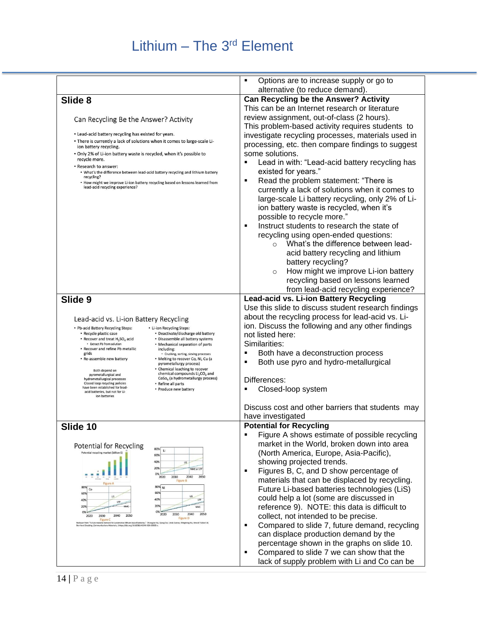|                                                                                                                                                                                                                                               | Options are to increase supply or go to<br>٠                                        |
|-----------------------------------------------------------------------------------------------------------------------------------------------------------------------------------------------------------------------------------------------|-------------------------------------------------------------------------------------|
|                                                                                                                                                                                                                                               | alternative (to reduce demand).                                                     |
| Slide 8                                                                                                                                                                                                                                       | Can Recycling be the Answer? Activity                                               |
|                                                                                                                                                                                                                                               | This can be an Internet research or literature                                      |
| Can Recycling Be the Answer? Activity                                                                                                                                                                                                         | review assignment, out-of-class (2 hours).                                          |
|                                                                                                                                                                                                                                               | This problem-based activity requires students to                                    |
| • Lead-acid battery recycling has existed for years.<br>• There is currently a lack of solutions when it comes to large-scale Li-                                                                                                             | investigate recycling processes, materials used in                                  |
| ion battery recycling.                                                                                                                                                                                                                        | processing, etc. then compare findings to suggest                                   |
| . Only 2% of Li-ion battery waste is recycled, when it's possible to<br>recycle more.                                                                                                                                                         | some solutions.<br>Lead in with: "Lead-acid battery recycling has<br>$\blacksquare$ |
| • Research to answer:<br>. What's the difference between lead-acid battery recycling and lithium battery                                                                                                                                      | existed for years."                                                                 |
| recycling?                                                                                                                                                                                                                                    | Read the problem statement: "There is<br>٠                                          |
| • How might we improve Li-ion battery recycling based on lessons learned from<br>lead-acid recycling experience?                                                                                                                              | currently a lack of solutions when it comes to                                      |
|                                                                                                                                                                                                                                               | large-scale Li battery recycling, only 2% of Li-                                    |
|                                                                                                                                                                                                                                               | ion battery waste is recycled, when it's                                            |
|                                                                                                                                                                                                                                               | possible to recycle more."                                                          |
|                                                                                                                                                                                                                                               | Instruct students to research the state of<br>٠                                     |
|                                                                                                                                                                                                                                               | recycling using open-ended questions:                                               |
|                                                                                                                                                                                                                                               | What's the difference between lead-                                                 |
|                                                                                                                                                                                                                                               | acid battery recycling and lithium                                                  |
|                                                                                                                                                                                                                                               | battery recycling?                                                                  |
|                                                                                                                                                                                                                                               | How might we improve Li-ion battery<br>$\circ$                                      |
|                                                                                                                                                                                                                                               | recycling based on lessons learned                                                  |
|                                                                                                                                                                                                                                               | from lead-acid recycling experience?                                                |
| Slide 9                                                                                                                                                                                                                                       | Lead-acid vs. Li-ion Battery Recycling                                              |
|                                                                                                                                                                                                                                               | Use this slide to discuss student research findings                                 |
| Lead-acid vs. Li-ion Battery Recycling                                                                                                                                                                                                        | about the recycling process for lead-acid vs. Li-                                   |
| • Pb-acid Battery Recycling Steps:<br>• Li-ion Recycling Steps:<br>• Recycle plastic case<br>• Deactivate/discharge old battery                                                                                                               | ion. Discuss the following and any other findings<br>not listed here:               |
| • Recover and treat H <sub>2</sub> SO <sub>4</sub> acid<br>• Disassemble all battery systems<br>• Extract Pb from solution<br>• Mechanical separation of parts                                                                                | Similarities:                                                                       |
| • Recover and refine Pb metallic<br>including:<br>grids<br>• Crushing, sorting, sieving processes                                                                                                                                             | Both have a deconstruction process                                                  |
| • Re-assemble new battery<br>• Melting to recover Co, Ni, Cu (a<br>pyrometallurgy process)                                                                                                                                                    | Both use pyro and hydro-metallurgical                                               |
| • Chemical leaching to recover<br>Both depend on<br>chemical compounds Li <sub>2</sub> CO <sub>3</sub> and                                                                                                                                    |                                                                                     |
| pyrometallurgical and<br>CoSo <sub>4</sub> (a hydrometallurgy process)<br>hydrometallurgical processes<br>Closed loop recycling policies                                                                                                      | Differences:                                                                        |
| • Refine all parts<br>have been established for lead-<br>• Produce new battery<br>acid batteries, but not for Li-                                                                                                                             | Closed-loop system                                                                  |
| ion batteries                                                                                                                                                                                                                                 |                                                                                     |
|                                                                                                                                                                                                                                               | Discuss cost and other barriers that students may                                   |
|                                                                                                                                                                                                                                               | have investigated                                                                   |
| Slide 10                                                                                                                                                                                                                                      | <b>Potential for Recycling</b>                                                      |
|                                                                                                                                                                                                                                               | Figure A shows estimate of possible recycling<br>٠                                  |
| Potential for Recycling<br>80%<br>Li                                                                                                                                                                                                          | market in the World, broken down into area                                          |
| Potential recycling market (billic<br>60%                                                                                                                                                                                                     | (North America, Europe, Asia-Pacific),                                              |
| 40%<br>US.<br>209<br>NMC or LFF                                                                                                                                                                                                               | showing projected trends.<br>Figures B, C, and D show percentage of<br>٠            |
| 0%<br>2020<br>2030<br>2040<br>2050<br><b>Figure B</b>                                                                                                                                                                                         | materials that can be displaced by recycling.                                       |
| 80%<br>80<br>Co                                                                                                                                                                                                                               | Future Li-based batteries technologies (LiS)                                        |
| 609<br>60%<br>$\overline{u}$<br><b>US</b><br>40%<br><b>LFP</b><br>40%                                                                                                                                                                         | could help a lot (some are discussed in                                             |
| LFP<br>209<br>20%<br><b>NMC</b>                                                                                                                                                                                                               | reference 9). NOTE: this data is difficult to                                       |
| 0%<br>0%<br>2050<br>2020<br>2030<br>2040<br>2030<br>2040<br>2050<br>2020<br><b>Figure D</b>                                                                                                                                                   | collect, not intended to be precise.                                                |
| Figure 0<br>en from "Future material demand for automotive lithium-based batteries," Oxengüan Xu, Qiang Dai, Linda Gaines, Mingming Hu, Arnold Tukker1 &<br>ard Steubing ,Communications Materials, 1https://doi.org/10.1038/s43246-020-00095 | Compared to slide 7, future demand, recycling<br>٠                                  |
|                                                                                                                                                                                                                                               | can displace production demand by the                                               |
|                                                                                                                                                                                                                                               | percentage shown in the graphs on slide 10.                                         |
|                                                                                                                                                                                                                                               | Compared to slide 7 we can show that the<br>٠                                       |
|                                                                                                                                                                                                                                               | lack of supply problem with Li and Co can be                                        |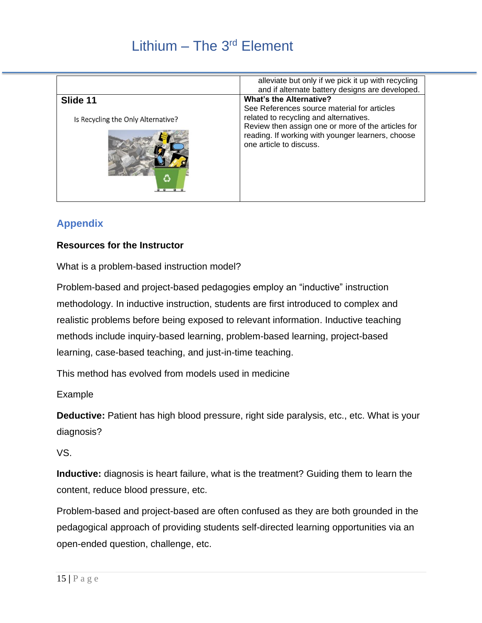|                                                      | alleviate but only if we pick it up with recycling<br>and if alternate battery designs are developed.                                                                                                                                                         |
|------------------------------------------------------|---------------------------------------------------------------------------------------------------------------------------------------------------------------------------------------------------------------------------------------------------------------|
| Slide 11<br>Is Recycling the Only Alternative?<br>Č. | <b>What's the Alternative?</b><br>See References source material for articles<br>related to recycling and alternatives.<br>Review then assign one or more of the articles for<br>reading. If working with younger learners, choose<br>one article to discuss. |

### **Appendix**

### **Resources for the Instructor**

What is a problem-based instruction model?

Problem-based and project-based pedagogies employ an "inductive" instruction methodology. In inductive instruction, students are first introduced to complex and realistic problems before being exposed to relevant information. Inductive teaching methods include inquiry-based learning, problem-based learning, project-based learning, case-based teaching, and just-in-time teaching.

This method has evolved from models used in medicine

Example

**Deductive:** Patient has high blood pressure, right side paralysis, etc., etc. What is your diagnosis?

VS.

**Inductive:** diagnosis is heart failure, what is the treatment? Guiding them to learn the content, reduce blood pressure, etc.

Problem-based and project-based are often confused as they are both grounded in the pedagogical approach of providing students self-directed learning opportunities via an open-ended question, challenge, etc.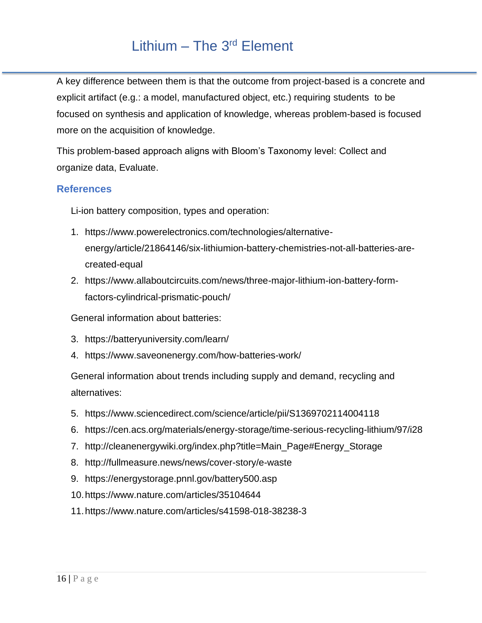A key difference between them is that the outcome from project-based is a concrete and explicit artifact (e.g.: a model, manufactured object, etc.) requiring students to be focused on synthesis and application of knowledge, whereas problem-based is focused more on the acquisition of knowledge.

This problem-based approach aligns with Bloom's Taxonomy level: Collect and organize data, Evaluate.

### **References**

Li-ion battery composition, types and operation:

- 1. https://www.powerelectronics.com/technologies/alternativeenergy/article/21864146/six-lithiumion-battery-chemistries-not-all-batteries-arecreated-equal
- 2. https://www.allaboutcircuits.com/news/three-major-lithium-ion-battery-formfactors-cylindrical-prismatic-pouch/

General information about batteries:

- 3. https://batteryuniversity.com/learn/
- 4. https://www.saveonenergy.com/how-batteries-work/

General information about trends including supply and demand, recycling and alternatives:

- 5. https://www.sciencedirect.com/science/article/pii/S1369702114004118
- 6. https://cen.acs.org/materials/energy-storage/time-serious-recycling-lithium/97/i28
- 7. http://cleanenergywiki.org/index.php?title=Main\_Page#Energy\_Storage
- 8. http://fullmeasure.news/news/cover-story/e-waste
- 9. https://energystorage.pnnl.gov/battery500.asp
- 10.https://www.nature.com/articles/35104644
- 11.https://www.nature.com/articles/s41598-018-38238-3